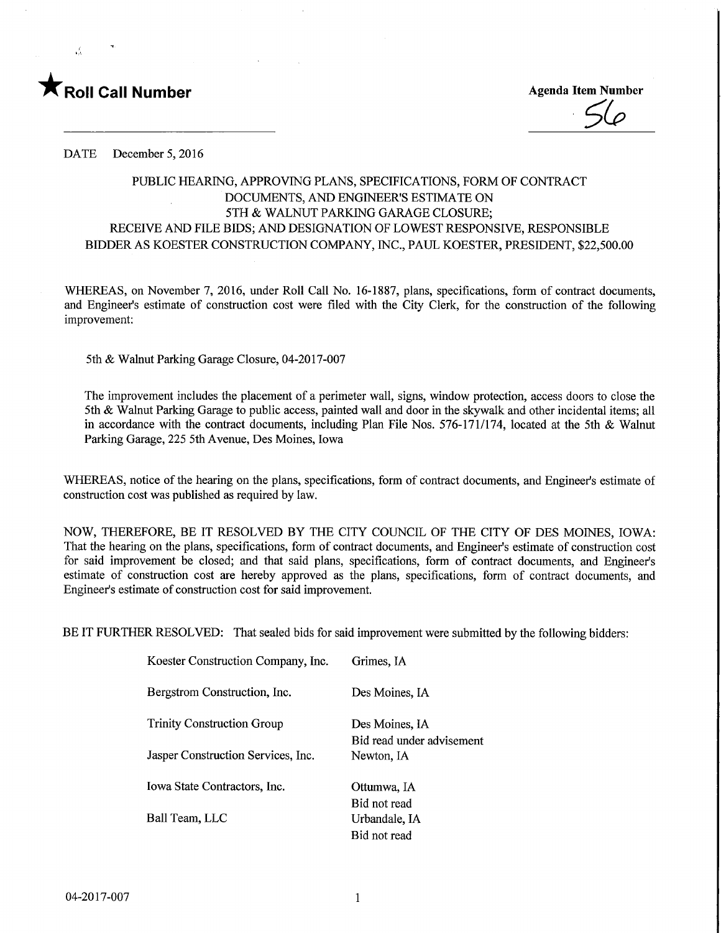

Roll Call Number<br>
Agenda Item Number<br>
Agenda Item Number<br>
Agenda Item Number

DATE December 5, 2016

### PUBLIC HEARING, APPROVING PLANS, SPECIFICATIONS, FORM OF CONTRACT DOCUMENTS, AND ENGINEER'S ESTIMATE ON 5TH & WALNUT PARKING GARAGE CLOSURE; RECEIVE AND FILE BIDS; AND DESIGNATION OF LOWEST RESPONSIVE, RESPONSIBLE BIDDER AS KOESTER CONSTRUCTION COMPANY, INC., PAUL KOESTER, PRESIDENT, \$22,500.00

WHEREAS, on November 7, 2016, under Roll Call No. 16-1887, plans, specifications, form of contract documents, and Engineer's estimate of construction cost were filed with the City Clerk, for the construction of the following improvement:

5th & Walnut Parking Garage Closure, 04-2017-007

The improvement includes the placement of a perimeter wall, signs, window protection, access doors to close the 5th & Walnut Parking Garage to public access, painted wall and door in the skywalk and other incidental items; all in accordance with the contract documents, including Plan File Nos. 576-171/174, located at the 5th & Walnut Parking Garage, 225 5th Avenue, Des Moines, Iowa

WHEREAS, notice of the hearing on the plans, specifications, form of contract documents, and Engineer's estimate of construction cost was published as required by law.

NOW, THEREFORE, BE IT RESOLVED BY THE CITY COUNCIL OF THE CITY OF DES MOINES, IOWA: That the hearing on the plans, specifications, form of contract documents, and Engineer's estimate of construction cost for said improvement be closed; and that said plans, specifications, form of contract documents, and Engineer's estimate of construction cost are hereby approved as the plans, specifications, form of contract documents, and Engineer's estimate of construction cost for said improvement.

BE IT FURTHER RESOLVED: That sealed bids for said improvement were submitted by the following bidders:

| Koester Construction Company, Inc. | Grimes, IA                |
|------------------------------------|---------------------------|
| Bergstrom Construction, Inc.       | Des Moines, IA            |
| <b>Trinity Construction Group</b>  | Des Moines, IA            |
|                                    | Bid read under advisement |
| Jasper Construction Services, Inc. | Newton, IA                |
| Iowa State Contractors, Inc.       | Ottumwa, IA               |
|                                    | Bid not read              |
| Ball Team. LLC                     | Urbandale, IA             |
|                                    | Bid not read              |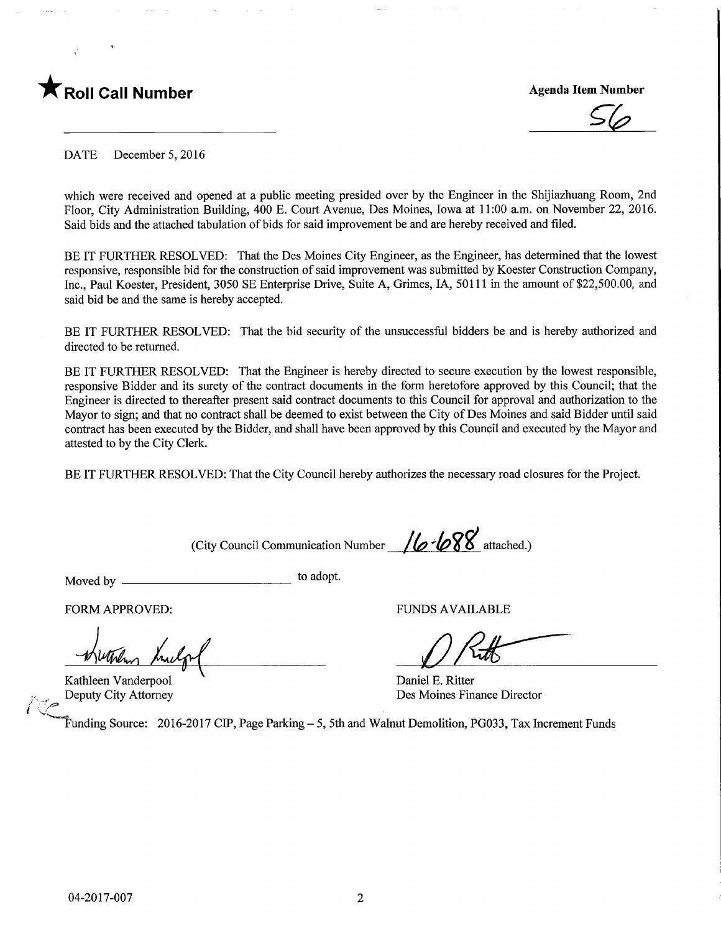

**Agenda Item Number** 

DATE December 5, 2016

which were received and opened at a public meeting presided over by the Engineer in the Shijiazhuang Room, 2nd Floor, City Administration Building, 400 E. Court Avenue, Des Moines, Iowa at 11:00 a.m. on November 22, 2016. Said bids and the attached tabulation of bids for said improvement be and are hereby received and filed.

BE IT FURTHER RESOLVED: That the Des Moines City Engineer, as the Engineer, has determined that the lowest responsive, responsible bid for the construction of said improvement was submitted by Koester Construction Company, Inc., Paul Koester, President, 3050 SE Enterprise Drive, Suite A, Grimes, IA, 50111 in the amount of \$22,500.00, and said bid be and the same is hereby accepted.

BE IT FURTHER RESOLVED: That the bid security of the unsuccessful bidders be and is hereby authorized and directed to be returned.

BE IT FURTHER RESOLVED: That the Engineer is hereby directed to secure execution by the lowest responsible, responsive Bidder and its surety of the contract documents in the form heretofore approved by this Council; that the Engineer is directed to thereafter present said contract documents to this Council for approval and authorization to the Mayor to sign; and that no contract shall be deemed to exist between the City of Des Moines and said Bidder until said contract has been executed by the Bidder, and shall have been approved by this Council and executed by the Mayor and attested to by the City Clerk.

BE IT FURTHER RESOLVED: That the City Council hereby authorizes the necessary road closures for the Project.

(City Council Communication Number  $/6$   $/ 68$  attached.)

Moved by \_ to ad°Pt-

FORM APPROVED: THE RESERVED OF THE RESERVED OF THE RESERVED OF THE RESERVED OF THE RESERVED OF THE RESERVED OF THE RESERVED OF THE RESERVED OF THE RESERVED OF THE RESERVED OF THE RESERVED OF THE RESERVED OF THE RESERVED OF

Kathleen Vanderpool (E. Ritter Daniel E. Ritter Deputy City Attorney

international (1980)<br>Septembrie 1980

 $D$  Rith

Des Moines Finance Director

^^~Funding Source: 2016-2017 CIP, Page Parking - 5, 5th and Walnut Demolition, PG033, Tax Increment Funds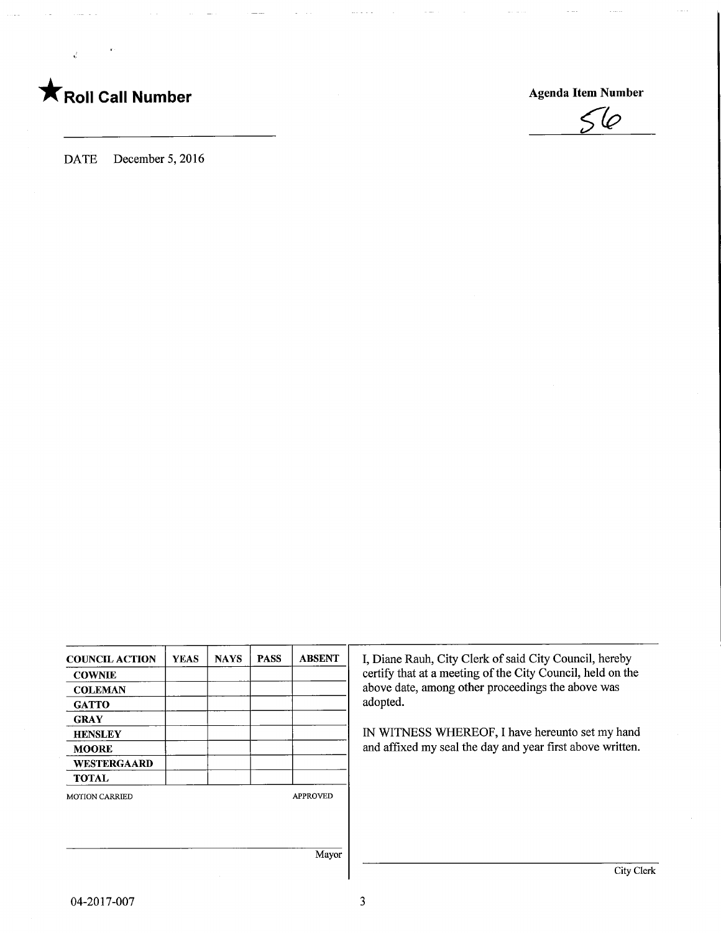# **T** Roll Call Number Agenda Item Number



DATE December 5, 2016

| <b>COUNCIL ACTION</b> | YEAS | <b>NAYS</b> | <b>PASS</b> | <b>ABSENT</b>   |
|-----------------------|------|-------------|-------------|-----------------|
| <b>COWNIE</b>         |      |             |             |                 |
| <b>COLEMAN</b>        |      |             |             |                 |
| <b>GATTO</b>          |      |             |             |                 |
| <b>GRAY</b>           |      |             |             |                 |
| <b>HENSLEY</b>        |      |             |             |                 |
| <b>MOORE</b>          |      |             |             |                 |
| WESTERGAARD           |      |             |             |                 |
| <b>TOTAL</b>          |      |             |             |                 |
| <b>MOTION CARRIED</b> |      |             |             | <b>APPROVED</b> |
|                       |      |             |             | Mayor           |

I, Diane Rauh, City Clerk of said City Council, hereby certify that at a meeting of the City Council, held on the above date, among other proceedings the above was adopted.

IN WITNESS WHEREOF, I have hereunto set my hand and affixed my seal the day and year first above written.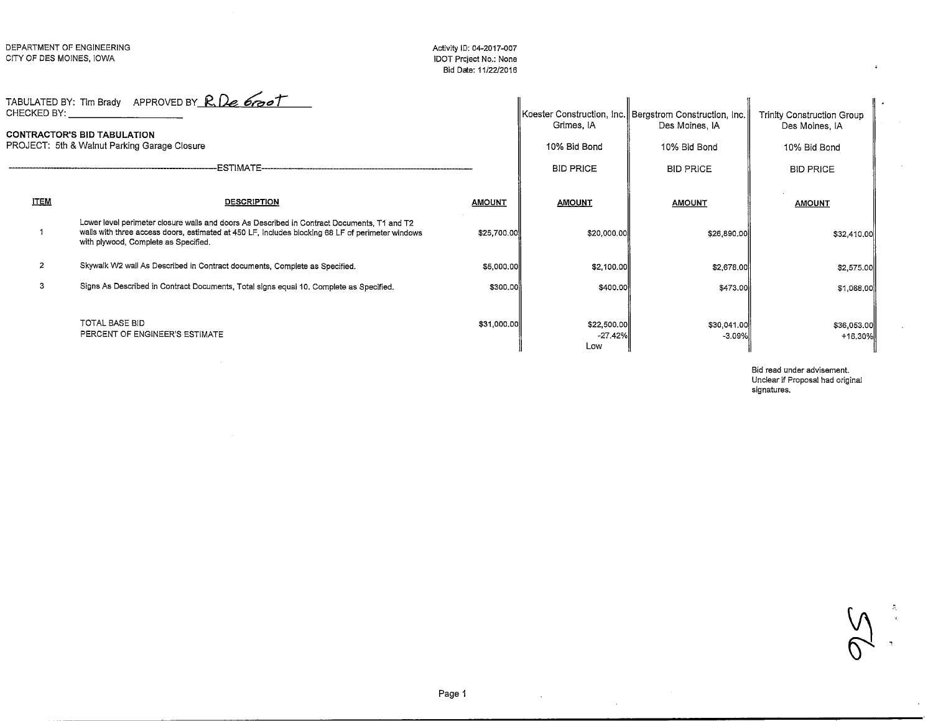#### Activity ID: 04-2017-007 IDOT Project No.: NoneBid Date: 11/22/2016

|                | TABULATED BY: Tim Brady APPROVED BY R. De 6000<br>CHECKED BY: The contract of the contract of the contract of the contract of the contract of the contract of the contract of the contract of the contract of the contract of the contract of the contract of the contract of th<br><b>CONTRACTOR'S BID TABULATION</b><br>PROJECT: 5th & Walnut Parking Garage Closure<br>ESTIMATE----- |               | Grimes, IA<br>10% Bid Bond<br><b>BID PRICE</b> | Koester Construction, Inc.   Bergstrom Construction, Inc. <br>Des Moines, IA<br>10% Bid Bond<br><b>BID PRICE</b> | <b>Trinity Construction Group</b><br>Des Moines, IA<br>10% Bid Bond<br><b>BID PRICE</b> |
|----------------|-----------------------------------------------------------------------------------------------------------------------------------------------------------------------------------------------------------------------------------------------------------------------------------------------------------------------------------------------------------------------------------------|---------------|------------------------------------------------|------------------------------------------------------------------------------------------------------------------|-----------------------------------------------------------------------------------------|
| <b>ITEM</b>    | <b>DESCRIPTION</b>                                                                                                                                                                                                                                                                                                                                                                      | <b>AMOUNT</b> | <b>AMOUNT</b>                                  | <b>AMOUNT</b>                                                                                                    | <b>AMOUNT</b>                                                                           |
|                | Lower level perimeter closure walls and doors As Described in Contract Documents, T1 and T2<br>walls with three access doors, estimated at 450 LF, includes blocking 68 LF of perimeter windows<br>with plywood, Complete as Specified.                                                                                                                                                 | \$25,700.00   | \$20,000.00                                    | \$26,890.00                                                                                                      | \$32,410,00                                                                             |
| $\overline{2}$ | Skywalk W2 wall As Described in Contract documents, Complete as Specified.                                                                                                                                                                                                                                                                                                              | \$5,000.00    | \$2,100.00                                     | \$2,678.00                                                                                                       | \$2,575.00                                                                              |
| 3              | Signs As Described in Contract Documents, Total signs equal 10, Complete as Specified.                                                                                                                                                                                                                                                                                                  | \$300.00      | \$400.00                                       | \$473.00                                                                                                         | \$1,068.00                                                                              |
|                | TOTAL BASE BID<br>PERCENT OF ENGINEER'S ESTIMATE                                                                                                                                                                                                                                                                                                                                        | \$31,000.00   | \$22,500.00<br>$-27.42%$<br>Low                | \$30,041.00<br>-3.09%                                                                                            | \$36,053.00<br>$+16.30%$                                                                |

Bid read under advisement. Unclear if Proposal had original signatures.

 $\overline{A}$  $Q_{1}$ .

 $\mathcal{A}$ 

 $\sim$ 

 $\mathcal{H}^{\text{max}}_{\text{max}}$  and  $\mathcal{H}^{\text{max}}_{\text{max}}$